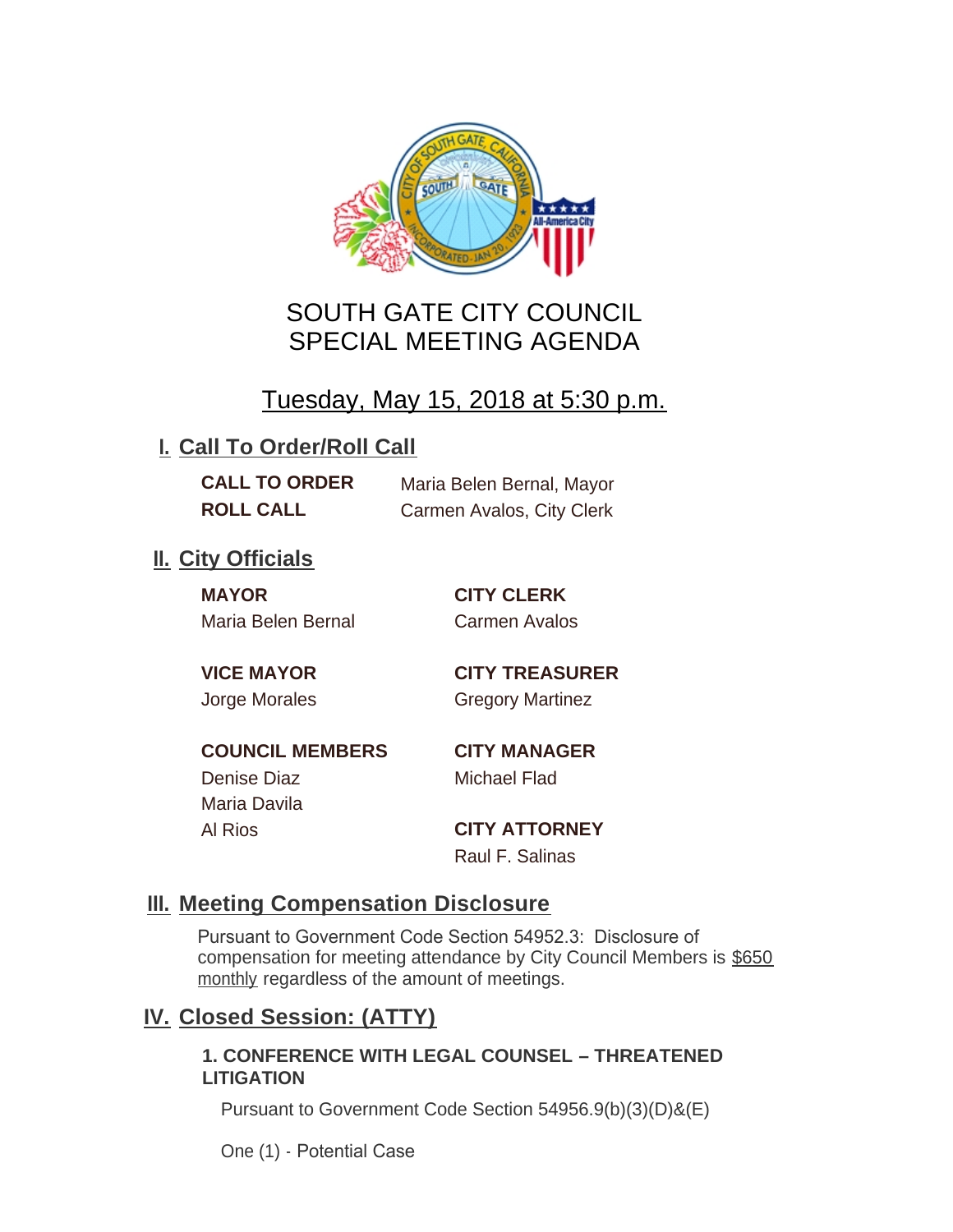

# SOUTH GATE CITY COUNCIL SPECIAL MEETING AGENDA

# Tuesday, May 15, 2018 at 5:30 p.m.

# **I. Call To Order/Roll Call**

**CALL TO ORDER** Maria Belen Bernal, Mayor **ROLL CALL** Carmen Avalos, City Clerk

## **II.** City Officials

**MAYOR CITY CLERK** Maria Belen Bernal Carmen Avalos

**VICE MAYOR CITY TREASURER** Jorge Morales Gregory Martinez

**COUNCIL MEMBERS CITY MANAGER** Denise Diaz Michael Flad

Maria Davila

Al Rios **CITY ATTORNEY** Raul F. Salinas

### **Meeting Compensation Disclosure III.**

Pursuant to Government Code Section 54952.3: Disclosure of compensation for meeting attendance by City Council Members is \$650 monthly regardless of the amount of meetings.

## **Closed Session: (ATTY) IV.**

#### **1. CONFERENCE WITH LEGAL COUNSEL – THREATENED LITIGATION**

Pursuant to Government Code Section 54956.9(b)(3)(D)&(E)

One (1) - Potential Case